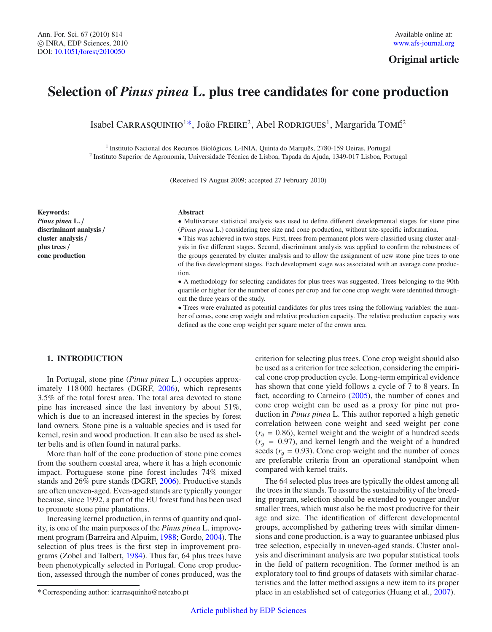# **Original article**

# **Selection of** *Pinus pinea* **L. plus tree candidates for cone production**

Isabel CARRASQUINHO<sup>1\*</sup>, João FREIRE<sup>2</sup>, Abel RODRIGUES<sup>1</sup>, Margarida TOMÉ<sup>2</sup>

<sup>1</sup> Instituto Nacional dos Recursos Biológicos, L-INIA, Quinta do Marquês, 2780-159 Oeiras, Portugal <sup>2</sup> Instituto Superior de Agronomia, Universidade Técnica de Lisboa, Tapada da Ajuda, 1349-017 Lisboa, Portugal

(Received 19 August 2009; accepted 27 February 2010)

**Keywords:** *Pinus pinea* **L.** / **discriminant analysis** / **cluster analysis** / **plus trees** / **cone production**

#### **Abstract**

• Multivariate statistical analysis was used to define different developmental stages for stone pine (*Pinus pinea* L.) considering tree size and cone production, without site-specific information.

• This was achieved in two steps. First, trees from permanent plots were classified using cluster analysis in five different stages. Second, discriminant analysis was applied to confirm the robustness of the groups generated by cluster analysis and to allow the assignment of new stone pine trees to one of the five development stages. Each development stage was associated with an average cone production.

• A methodology for selecting candidates for plus trees was suggested. Trees belonging to the 90th quartile or higher for the number of cones per crop and for cone crop weight were identified throughout the three years of the study.

• Trees were evaluated as potential candidates for plus trees using the following variables: the number of cones, cone crop weight and relative production capacity. The relative production capacity was defined as the cone crop weight per square meter of the crown area.

# **1. INTRODUCTION**

In Portugal, stone pine (*Pinus pinea* L.) occupies approximately 118 000 hectares (DGRF, [2006\)](#page-6-0), which represents 3.5% of the total forest area. The total area devoted to stone pine has increased since the last inventory by about 51%, which is due to an increased interest in the species by forest land owners. Stone pine is a valuable species and is used for kernel, resin and wood production. It can also be used as shelter belts and is often found in natural parks.

More than half of the cone production of stone pine comes from the southern coastal area, where it has a high economic impact. Portuguese stone pine forest includes 74% mixed stands and 26% pure stands (DGRF, [2006](#page-6-0)). Productive stands are often uneven-aged. Even-aged stands are typically younger because, since 1992, a part of the EU forest fund has been used to promote stone pine plantations.

Increasing kernel production, in terms of quantity and quality, is one of the main purposes of the *Pinus pinea* L. improvement program (Barreira and Alpuim, [1988;](#page-6-1) Gordo, [2004\)](#page-6-2). The selection of plus trees is the first step in improvement programs (Zobel and Talbert, [1984\)](#page-6-3). Thus far, 64 plus trees have been phenotypically selected in Portugal. Cone crop production, assessed through the number of cones produced, was the criterion for selecting plus trees. Cone crop weight should also be used as a criterion for tree selection, considering the empirical cone crop production cycle. Long-term empirical evidence has shown that cone yield follows a cycle of 7 to 8 years. In fact, according to Carneiro [\(2005](#page-6-4)), the number of cones and cone crop weight can be used as a proxy for pine nut production in *Pinus pinea* L. This author reported a high genetic correlation between cone weight and seed weight per cone  $(r<sub>g</sub> = 0.86)$ , kernel weight and the weight of a hundred seeds  $(r<sub>g</sub> = 0.97)$ , and kernel length and the weight of a hundred seeds ( $r_q$  = 0.93). Cone crop weight and the number of cones are preferable criteria from an operational standpoint when compared with kernel traits.

The 64 selected plus trees are typically the oldest among all the trees in the stands. To assure the sustainability of the breeding program, selection should be extended to younger and/or smaller trees, which must also be the most productive for their age and size. The identification of different developmental groups, accomplished by gathering trees with similar dimensions and cone production, is a way to guarantee unbiased plus tree selection, especially in uneven-aged stands. Cluster analysis and discriminant analysis are two popular statistical tools in the field of pattern recognition. The former method is an exploratory tool to find groups of datasets with similar characteristics and the latter method assigns a new item to its proper place in an established set of categories (Huang et al., [2007](#page-6-5)).

<sup>\*</sup> Corresponding author: icarrasquinho@netcabo.pt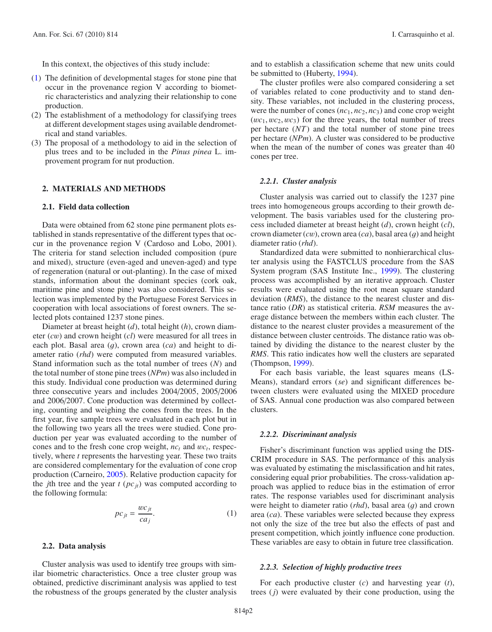In this context, the objectives of this study include:

- [\(1\)](#page-1-0) The definition of developmental stages for stone pine that occur in the provenance region V according to biometric characteristics and analyzing their relationship to cone production.
- (2) The establishment of a methodology for classifying trees at different development stages using available dendrometrical and stand variables.
- (3) The proposal of a methodology to aid in the selection of plus trees and to be included in the *Pinus pinea* L. improvement program for nut production.

# **2. MATERIALS AND METHODS**

#### **2.1. Field data collection**

Data were obtained from 62 stone pine permanent plots established in stands representative of the different types that occur in the provenance region V (Cardoso and Lobo, 2001). The criteria for stand selection included composition (pure and mixed), structure (even-aged and uneven-aged) and type of regeneration (natural or out-planting). In the case of mixed stands, information about the dominant species (cork oak, maritime pine and stone pine) was also considered. This selection was implemented by the Portuguese Forest Services in cooperation with local associations of forest owners. The selected plots contained 1237 stone pines.

<span id="page-1-0"></span>Diameter at breast height (*d*), total height (*h*), crown diameter (*c*w) and crown height (*cl*) were measured for all trees in each plot. Basal area (g), crown area (*ca*) and height to diameter ratio (*rhd*) were computed from measured variables. Stand information such as the total number of trees (*N*) and the total number of stone pine trees (*NPm*) was also included in this study. Individual cone production was determined during three consecutive years and includes 2004/2005, 2005/2006 and 2006/2007. Cone production was determined by collecting, counting and weighing the cones from the trees. In the first year, five sample trees were evaluated in each plot but in the following two years all the trees were studied. Cone production per year was evaluated according to the number of cones and to the fresh cone crop weight,  $nc_t$  and  $wc_t$ , respectively, where *t* represents the harvesting year. These two traits are considered complementary for the evaluation of cone crop production (Carneiro, [2005\)](#page-6-4). Relative production capacity for the *j*th tree and the year  $t$  ( $pc<sub>it</sub>$ ) was computed according to the following formula:

$$
pc_{jt} = \frac{wc_{jt}}{ca_j}.\tag{1}
$$

#### **2.2. Data analysis**

Cluster analysis was used to identify tree groups with similar biometric characteristics. Once a tree cluster group was obtained, predictive discriminant analysis was applied to test the robustness of the groups generated by the cluster analysis and to establish a classification scheme that new units could be submitted to (Huberty, [1994\)](#page-6-6).

The cluster profiles were also compared considering a set of variables related to cone productivity and to stand density. These variables, not included in the clustering process, were the number of cones  $(nc_1, nc_2, nc_3)$  and cone crop weight  $(wc_1, wc_2, wc_3)$  for the three years, the total number of trees per hectare (*NT*) and the total number of stone pine trees per hectare (*NPm*). A cluster was considered to be productive when the mean of the number of cones was greater than 40 cones per tree.

### *2.2.1. Cluster analysis*

Cluster analysis was carried out to classify the 1237 pine trees into homogeneous groups according to their growth development. The basis variables used for the clustering process included diameter at breast height (*d*), crown height (*cl*), crown diameter (*c*w), crown area (*ca*), basal area (g) and height diameter ratio (*rhd*).

Standardized data were submitted to nonhierarchical cluster analysis using the FASTCLUS procedure from the SAS System program (SAS Institute Inc., [1999\)](#page-6-7). The clustering process was accomplished by an iterative approach. Cluster results were evaluated using the root mean square standard deviation (*RMS*), the distance to the nearest cluster and distance ratio (*DR*) as statistical criteria. *RSM* measures the average distance between the members within each cluster. The distance to the nearest cluster provides a measurement of the distance between cluster centroids. The distance ratio was obtained by dividing the distance to the nearest cluster by the *RMS*. This ratio indicates how well the clusters are separated (Thompson, [1999](#page-6-8)).

For each basis variable, the least squares means (LS-Means), standard errors (*se*) and significant differences between clusters were evaluated using the MIXED procedure of SAS. Annual cone production was also compared between clusters.

#### *2.2.2. Discriminant analysis*

Fisher's discriminant function was applied using the DIS-CRIM procedure in SAS. The performance of this analysis was evaluated by estimating the misclassification and hit rates, considering equal prior probabilities. The cross-validation approach was applied to reduce bias in the estimation of error rates. The response variables used for discriminant analysis were height to diameter ratio (*rhd*), basal area (g) and crown area (*ca*). These variables were selected because they express not only the size of the tree but also the effects of past and present competition, which jointly influence cone production. These variables are easy to obtain in future tree classification.

#### *2.2.3. Selection of highly productive trees*

For each productive cluster (*c*) and harvesting year (*t*), trees (*j*) were evaluated by their cone production, using the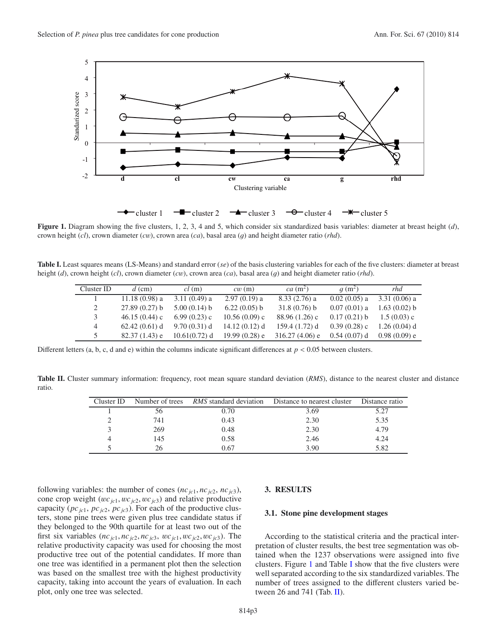<span id="page-2-0"></span>

<span id="page-2-1"></span>**Figure 1.** Diagram showing the five clusters, 1, 2, 3, 4 and 5, which consider six standardized basis variables: diameter at breast height (*d*), crown height (*cl*), crown diameter (*c*w), crown area (*ca*), basal area (g) and height diameter ratio (*rhd*).

<span id="page-2-2"></span>**Table I.** Least squares means (LS-Means) and standard error (*se*) of the basis clustering variables for each of the five clusters: diameter at breast height (*d*), crown height (*cl*), crown diameter (*c*w), crown area (*ca*), basal area (g) and height diameter ratio (*rhd*).

| Cluster ID     | $d$ (cm)         | cl(m)           | cw(m)           | $ca$ (m <sup>2</sup> ) | $q(m^2)$       | rhd            |
|----------------|------------------|-----------------|-----------------|------------------------|----------------|----------------|
|                | $11.18(0.98)$ a  | $3.11(0.49)$ a  | $2.97(0.19)$ a  | $8.33(2.76)$ a         | $0.02(0.05)$ a | $3.31(0.06)$ a |
| 2              | $27.89(0.27)$ b  | $5.00(0.14)$ b  | $6.22(0.05)$ b  | $31.8(0.76)$ b         | $0.07(0.01)$ a | $1.63(0.02)$ b |
| 3              | 46.15 $(0.44)$ c | $6.99(0.23)$ c  | $10.56(0.09)$ c | $88.96(1.26)$ c        | $0.17(0.21)$ b | $1.5(0.03)$ c  |
| $\overline{4}$ | $62.42(0.61)$ d  | $9.70(0.31)$ d  | $14.12(0.12)$ d | $159.4(1.72)$ d        | $0.39(0.28)$ c | $1.26(0.04)$ d |
| 5              | $82.37(1.43)$ e  | $10.61(0.72)$ d | $19.99(0.28)$ e | $316.27(4.06)$ e       | $0.54(0.07)$ d | $0.98(0.09)$ e |

Different letters (a, b, c, d and e) within the columns indicate significant differences at *<sup>p</sup>* < <sup>0</sup>.05 between clusters.

**Table II.** Cluster summary information: frequency, root mean square standard deviation (*RMS*), distance to the nearest cluster and distance ratio.

| Cluster ID |     | Number of trees RMS standard deviation | Distance to nearest cluster | Distance ratio |
|------------|-----|----------------------------------------|-----------------------------|----------------|
|            | 56  | 0.70                                   | 3.69                        | 5.27           |
|            | 741 | 0.43                                   | 2.30                        | 5.35           |
|            | 269 | 0.48                                   | 2.30                        | 4.79           |
| 4          | 145 | 0.58                                   | 2.46                        | 4.24           |
|            | 26  | 0.67                                   | 3.90                        | 5.82           |

following variables: the number of cones  $(nc_{ic1}, nc_{ic2}, nc_{ic3})$ , cone crop weight ( $wc_{ic1}$ ,  $wc_{ic2}$ ,  $wc_{ic3}$ ) and relative productive capacity ( $pc_{jc1}$ ,  $pc_{jc2}$ ,  $pc_{jc3}$ ). For each of the productive clusters, stone pine trees were given plus tree candidate status if they belonged to the 90th quartile for at least two out of the first six variables  $(nc_{ic1}, nc_{ic2}, nc_{ic3}, wc_{ic1}, wc_{ic2}, wc_{ic2}, wc_{ic3})$ . The relative productivity capacity was used for choosing the most productive tree out of the potential candidates. If more than one tree was identified in a permanent plot then the selection was based on the smallest tree with the highest productivity capacity, taking into account the years of evaluation. In each plot, only one tree was selected.

#### **3. RESULTS**

### **3.1. Stone pine development stages**

According to the statistical criteria and the practical interpretation of cluster results, the best tree segmentation was obtained when the 1237 observations were assigned into five clusters. Figure [1](#page-2-0) and Table [I](#page-2-1) show that the five clusters were well separated according to the six standardized variables. The number of trees assigned to the different clusters varied between 26 and 741 (Tab. [II\)](#page-2-2).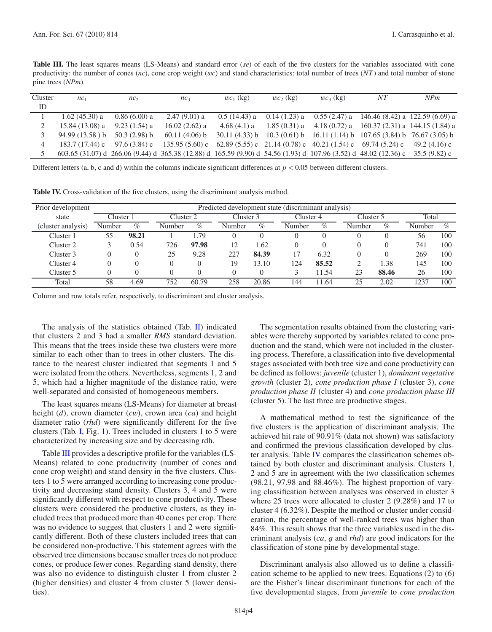<span id="page-3-1"></span><span id="page-3-0"></span>**Table III.** The least squares means (LS-Means) and standard error (*se*) of each of the five clusters for the variables associated with cone productivity: the number of cones (*nc*), cone crop weight (w*c*) and stand characteristics: total number of trees (*NT*) and total number of stone pine trees (*NPm*).

| Cluster | $nc_1$          | nc <sub>2</sub> | nc <sub>3</sub>                                                                                                                | $wc_1$ (kg)    | $wc_2$ (kg)    | $wc_3$ (kg) | NT                                                                           | N P m         |
|---------|-----------------|-----------------|--------------------------------------------------------------------------------------------------------------------------------|----------------|----------------|-------------|------------------------------------------------------------------------------|---------------|
| ID      |                 |                 |                                                                                                                                |                |                |             |                                                                              |               |
|         | $1.62(45.30)$ a | $0.86(6.00)$ a  | $2.47(9.01)$ a                                                                                                                 | $0.5(14.43)$ a |                |             | $0.14(1.23)$ a $0.55(2.47)$ a $146.46(8.42)$ a $122.59(6.69)$ a              |               |
|         | 15.84 (13.08) a | $9.23(1.54)$ a  | $16.02(2.62)$ a                                                                                                                | 4.68 $(4.1)$ a | $1.85(0.31)$ a |             | 4.18 (0.72) a $160.37$ (2.31) a $144.15$ (1.84) a                            |               |
|         | 94.99 (13.58) b | $50.3(2.98)$ b  | $60.11(4.06)$ b                                                                                                                |                |                |             | $30.11$ (4.33) b 10.3 (0.61) b 16.11 (1.14) b 107.65 (3.84) b 76.67 (3.05) b |               |
|         | 183.7 (17.44) c | 97.6 (3.84) c   | 135.95 (5.60) c 62.89 (5.55) c 21.14 (0.78) c 40.21 (1.54) c 69.74 (5.24) c                                                    |                |                |             |                                                                              | 49.2 (4.16) c |
|         |                 |                 | 603.65 (31.07) d 266.06 (9.44) d 365.38 (12.88) d 165.59 (9.90) d 54.56 (1.93) d 107.96 (3.52) d 48.02 (12.36) c 35.5 (9.82) c |                |                |             |                                                                              |               |

Different letters (a, b, c and d) within the columns indicate significant differences at *<sup>p</sup>* < <sup>0</sup>.05 between different clusters.

**Table IV.** Cross-validation of the five clusters, using the discriminant analysis method.

| Prior development  |        | Predicted development state (discriminant analysis) |          |           |        |           |        |           |        |       |        |      |
|--------------------|--------|-----------------------------------------------------|----------|-----------|--------|-----------|--------|-----------|--------|-------|--------|------|
| Cluster 1<br>state |        | Cluster 2                                           |          | Cluster 3 |        | Cluster 4 |        | Cluster 5 |        | Total |        |      |
| (cluster analysis) | Number | $\%$                                                | Number   | $\%$      | Number | $\%$      | Number | $\%$      | Number | $\%$  | Number | $\%$ |
| Cluster 1          | 55     | 98.21                                               |          | .79       |        |           |        |           |        |       | 56     | 100  |
| Cluster 2          |        | 0.54                                                | 726      | 97.98     | 12     | 1.62      |        |           |        |       | 741    | 100  |
| Cluster 3          |        | 0                                                   | 25       | 9.28      | 227    | 84.39     |        | 6.32      |        |       | 269    | 100  |
| Cluster 4          |        |                                                     | $\theta$ |           | 19     | 13.10     | 124    | 85.52     |        | 1.38  | 145    | 100  |
| Cluster 5          |        |                                                     |          |           |        |           |        | 11.54     | 23     | 88.46 | 26     | 100  |
| Total              | 58     | 4.69                                                | 752      | 60.79     | 258    | 20.86     | 144    | 1.64      | 25     | 2.02  | 237    | 100  |

Column and row totals refer, respectively, to discriminant and cluster analysis.

The analysis of the statistics obtained (Tab. [II\)](#page-2-2) indicated that clusters 2 and 3 had a smaller *RMS* standard deviation. This means that the trees inside these two clusters were more similar to each other than to trees in other clusters. The distance to the nearest cluster indicated that segments 1 and 5 were isolated from the others. Nevertheless, segments 1, 2 and 5, which had a higher magnitude of the distance ratio, were well-separated and consisted of homogeneous members.

The least squares means (LS-Means) for diameter at breast height (*d*), crown diameter (*c*w), crown area (*ca*) and height diameter ratio (*rhd*) were significantly different for the five clusters (Tab. [I,](#page-2-1) Fig. [1\)](#page-2-0). Trees included in clusters 1 to 5 were characterized by increasing size and by decreasing rdh.

Table [III](#page-3-0) provides a descriptive profile for the variables (LS-Means) related to cone productivity (number of cones and cone crop weight) and stand density in the five clusters. Clusters 1 to 5 were arranged according to increasing cone productivity and decreasing stand density. Clusters 3, 4 and 5 were significantly different with respect to cone productivity. These clusters were considered the productive clusters, as they included trees that produced more than 40 cones per crop. There was no evidence to suggest that clusters 1 and 2 were significantly different. Both of these clusters included trees that can be considered non-productive. This statement agrees with the observed tree dimensions because smaller trees do not produce cones, or produce fewer cones. Regarding stand density, there was also no evidence to distinguish cluster 1 from cluster 2 (higher densities) and cluster 4 from cluster 5 (lower densities).

The segmentation results obtained from the clustering variables were thereby supported by variables related to cone production and the stand, which were not included in the clustering process. Therefore, a classification into five developmental stages associated with both tree size and cone productivity can be defined as follows: *juvenile* (cluster 1), *dominant vegetative growth* (cluster 2), *cone production phase I* (cluster 3), *cone production phase II* (cluster 4) and *cone production phase III* (cluster 5). The last three are productive stages.

A mathematical method to test the significance of the five clusters is the application of discriminant analysis. The achieved hit rate of 90.91% (data not shown) was satisfactory and confirmed the previous classification developed by cluster analysis. Table [IV](#page-3-1) compares the classification schemes obtained by both cluster and discriminant analysis. Clusters 1, 2 and 5 are in agreement with the two classification schemes (98.21, 97.98 and 88.46%). The highest proportion of varying classification between analyses was observed in cluster 3 where 25 trees were allocated to cluster 2 (9.28%) and 17 to cluster 4 (6.32%). Despite the method or cluster under consideration, the percentage of well-ranked trees was higher than 84%. This result shows that the three variables used in the discriminant analysis (*ca*, g and *rhd*) are good indicators for the classification of stone pine by developmental stage.

Discriminant analysis also allowed us to define a classification scheme to be applied to new trees. Equations (2) to (6) are the Fisher's linear discriminant functions for each of the five developmental stages, from *juvenile* to *cone production*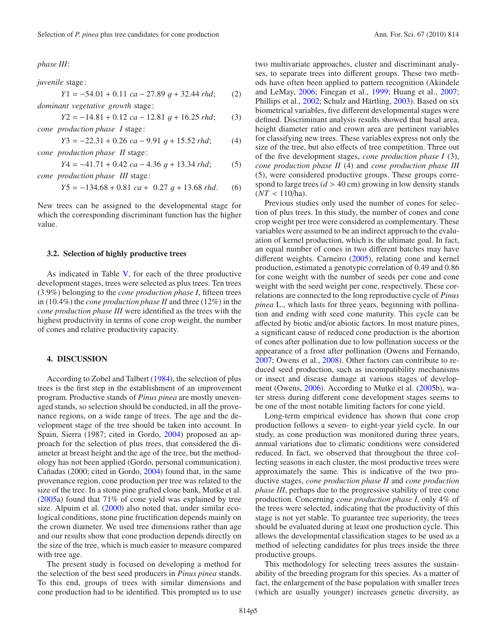*phase III*:

*juvenile* stage:

*Y*1 = −54.01 + 0.11 *ca* − 27.89 *q* + 32.44 *rhd*; (2)

*dominant vegetative growth* stage:

$$
Y2 = -14.81 + 0.12 ca - 12.81 g + 16.25 rhd; \tag{3}
$$

*cone production phase I* stage:

$$
Y3 = -22.31 + 0.26 \text{ ca} - 9.91 \text{ g} + 15.52 \text{ rhd}; \qquad (4)
$$

*cone production phase II* stage:

$$
Y4 = -41.71 + 0.42 \text{ } ca - 4.36 \text{ } g + 13.34 \text{ } rhd; \tag{5}
$$

*cone production phase III* stage:

$$
Y5 = -134.68 + 0.81 \ ca + 0.27 \ g + 13.68 \ rhd. \tag{6}
$$

New trees can be assigned to the developmental stage for which the corresponding discriminant function has the higher value.

#### **3.2. Selection of highly productive trees**

As indicated in Table  $V$ , for each of the three productive development stages, trees were selected as plus trees. Ten trees (3.9%) belonging to the *cone production phase I*, fifteen trees in (10.4%) the *cone production phase II* and three (12%) in the *cone production phase III* were identified as the trees with the highest productivity in terms of cone crop weight, the number of cones and relative productivity capacity.

#### **4. DISCUSSION**

According to Zobel and Talbert [\(1984\)](#page-6-3), the selection of plus trees is the first step in the establishment of an improvement program. Productive stands of *Pinus pinea* are mostly unevenaged stands, so selection should be conducted, in all the provenance regions, on a wide range of trees. The age and the development stage of the tree should be taken into account. In Spain, Sierra (1987; cited in Gordo, [2004\)](#page-6-2) proposed an approach for the selection of plus trees, that considered the diameter at breast height and the age of the tree, but the methodology has not been applied (Gordo, personal communication). Cañadas (2000; cited in Gordo, [2004\)](#page-6-2) found that, in the same provenance region, cone production per tree was related to the size of the tree. In a stone pine grafted clone bank, Mutke et al. [\(2005a](#page-6-9)) found that 71% of cone yield was explained by tree size. Alpuim et al. [\(2000\)](#page-5-1) also noted that, under similar ecological conditions, stone pine fructification depends mainly on the crown diameter. We used tree dimensions rather than age and our results show that cone production depends directly on the size of the tree, which is much easier to measure compared with tree age.

The present study is focused on developing a method for the selection of the best seed producers in *Pinus pinea* stands. To this end, groups of trees with similar dimensions and cone production had to be identified. This prompted us to use two multivariate approaches, cluster and discriminant analyses, to separate trees into different groups. These two methods have often been applied to pattern recognition (Akindele and LeMay, [2006](#page-5-2); Finegan et al., [1999;](#page-6-10) Huang et al., [2007;](#page-6-5) Phillips et al., [2002;](#page-6-11) Schulz and Härtling, [2003\)](#page-6-12). Based on six biometrical variables, five different developmental stages were defined. Discriminant analysis results showed that basal area, height diameter ratio and crown area are pertinent variables for classifying new trees. These variables express not only the size of the tree, but also effects of tree competition. Three out of the five development stages, *cone production phase I* (3), *cone production phase II* (4) and *cone production phase III* (5), were considered productive groups. These groups correspond to large trees  $(d > 40 \text{ cm})$  growing in low density stands  $(NT < 110/ha)$ .

Previous studies only used the number of cones for selection of plus trees. In this study, the number of cones and cone crop weight per tree were considered as complementary. These variables were assumed to be an indirect approach to the evaluation of kernel production, which is the ultimate goal. In fact, an equal number of cones in two different batches may have different weights. Carneiro [\(2005\)](#page-6-4), relating cone and kernel production, estimated a genotypic correlation of 0.49 and 0.86 for cone weight with the number of seeds per cone and cone weight with the seed weight per cone, respectively. These correlations are connected to the long reproductive cycle of *Pinus pinea* L., which lasts for three years, beginning with pollination and ending with seed cone maturity. This cycle can be affected by biotic and/or abiotic factors. In most mature pines, a significant cause of reduced cone production is the abortion of cones after pollination due to low pollination success or the appearance of a frost after pollination (Owens and Fernando, [2007;](#page-6-13) Owens et al., [2008](#page-6-14)). Other factors can contribute to reduced seed production, such as incompatibility mechanisms or insect and disease damage at various stages of development (Owens, [2006](#page-6-15)). According to Mutke et al. [\(2005](#page-6-16)b), water stress during different cone development stages seems to be one of the most notable limiting factors for cone yield.

Long-term empirical evidence has shown that cone crop production follows a seven- to eight-year yield cycle. In our study, as cone production was monitored during three years, annual variations due to climatic conditions were considered reduced. In fact, we observed that throughout the three collecting seasons in each cluster, the most productive trees were approximately the same. This is indicative of the two productive stages, *cone production phase II* and *cone production phase III*, perhaps due to the progressive stability of tree cone production. Concerning *cone production phase I*, only 4% of the trees were selected, indicating that the productivity of this stage is not yet stable. To guarantee tree superiority, the trees should be evaluated during at least one production cycle. This allows the developmental classification stages to be used as a method of selecting candidates for plus trees inside the three productive groups.

This methodology for selecting trees assures the sustainability of the breeding program for this species. As a matter of fact, the enlargement of the base population with smaller trees (which are usually younger) increases genetic diversity, as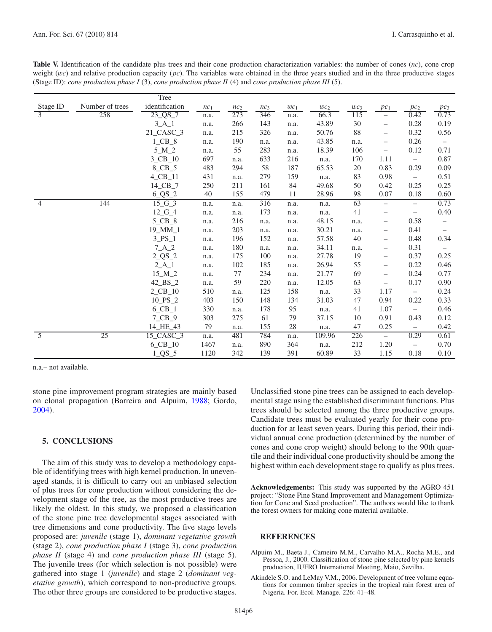<span id="page-5-0"></span>**Table V.** Identification of the candidate plus trees and their cone production characterization variables: the number of cones (*nc*), cone crop weight *(wc)* and relative production capacity *(pc)*. The variables were obtained in the three years studied and in the three productive stages (Stage ID): *cone production phase I* (3), *cone production phase II* (4) and *cone production phase III* (5).

|                          |                 | Tree                                          |        |        |                 |        |                 |                 |                          |                          |                          |
|--------------------------|-----------------|-----------------------------------------------|--------|--------|-----------------|--------|-----------------|-----------------|--------------------------|--------------------------|--------------------------|
| Stage ID                 | Number of trees | identification                                | $nc_1$ | $nc_2$ | nc <sub>3</sub> | $wc_1$ | wc <sub>2</sub> | wc <sub>3</sub> | pc <sub>1</sub>          | pc <sub>2</sub>          | pc <sub>3</sub>          |
| $\overline{\mathcal{E}}$ | 258             | $23_QS_7$                                     | n.a.   | 273    | 346             | n.a.   | 66.3            | 115             |                          | 0.42                     | 0.73                     |
|                          |                 | $3_A_1$                                       | n.a.   | 266    | 143             | n.a.   | 43.89           | 30              | —                        | 0.28                     | 0.19                     |
|                          |                 | $21$ <sub>CASC</sub> $3$                      | n.a.   | 215    | 326             | n.a.   | 50.76           | 88              | $\overline{\phantom{m}}$ | 0.32                     | 0.56                     |
|                          |                 | $1$ <sub><math>CB</math><math>-8</math></sub> | n.a.   | 190    | n.a.            | n.a.   | 43.85           | n.a.            | $\overline{\phantom{0}}$ | 0.26                     |                          |
|                          |                 | $5_M_2$                                       | n.a.   | 55     | 283             | n.a.   | 18.39           | 106             | $\qquad \qquad -$        | 0.12                     | 0.71                     |
|                          |                 | 3_CB_10                                       | 697    | n.a.   | 633             | 216    | n.a.            | 170             | 1.11                     | $\overline{\phantom{m}}$ | 0.87                     |
|                          |                 | 8_CB_5                                        | 483    | 294    | 58              | 187    | 65.53           | 20              | 0.83                     | 0.29                     | 0.09                     |
|                          |                 | $4$ <sub>CB</sub> $-11$                       | 431    | n.a.   | 279             | 159    | n.a.            | 83              | 0.98                     | $\qquad \qquad -$        | 0.51                     |
|                          |                 | 14_CB_7                                       | 250    | 211    | 161             | 84     | 49.68           | 50              | 0.42                     | 0.25                     | 0.25                     |
|                          |                 | $6_QS_2$                                      | 40     | 155    | 479             | 11     | 28.96           | 98              | 0.07                     | 0.18                     | 0.60                     |
| $\overline{4}$           | 144             | $15_G$ <sub>3</sub>                           | n.a.   | n.a.   | 316             | n.a.   | n.a.            | 63              | $\overline{\phantom{0}}$ | $\overline{\phantom{m}}$ | 0.73                     |
|                          |                 | $12_G - 4$                                    | n.a.   | n.a.   | 173             | n.a.   | n.a.            | 41              | —                        | $\overline{\phantom{m}}$ | 0.40                     |
|                          |                 | 5_CB_8                                        | n.a.   | 216    | n.a.            | n.a.   | 48.15           | n.a.            | —                        | 0.58                     | -                        |
|                          |                 | 19_MM_1                                       | n.a.   | 203    | n.a.            | n.a.   | 30.21           | n.a.            | $\qquad \qquad -$        | 0.41                     | $\overline{\phantom{0}}$ |
|                          |                 | $3$ <sub>PS</sub> $1$                         | n.a.   | 196    | 152             | n.a.   | 57.58           | 40              |                          | 0.48                     | 0.34                     |
|                          |                 | $7_A_2$                                       | n.a.   | 180    | n.a.            | n.a.   | 34.11           | n.a.            | —                        | 0.31                     |                          |
|                          |                 | $2_QS_2$                                      | n.a.   | 175    | 100             | n.a.   | 27.78           | 19              | $\qquad \qquad -$        | 0.37                     | 0.25                     |
|                          |                 | $2_A_1$                                       | n.a.   | 102    | 185             | n.a.   | 26.94           | 55              | $\overline{\phantom{0}}$ | 0.22                     | 0.46                     |
|                          |                 | $15_M_2$                                      | n.a.   | 77     | 234             | n.a.   | 21.77           | 69              | $\overline{\phantom{m}}$ | 0.24                     | 0.77                     |
|                          |                 | $42$ <sub>BS</sub> $2$                        | n.a.   | 59     | 220             | n.a.   | 12.05           | 63              | $\qquad \qquad -$        | 0.17                     | 0.90                     |
|                          |                 | $2$ <sub>-CB</sub> <sub>-10</sub>             | 510    | n.a.   | 125             | 158    | n.a.            | 33              | 1.17                     | $\qquad \qquad -$        | 0.24                     |
|                          |                 | $10$ <sub>PS</sub> $_2$                       | 403    | 150    | 148             | 134    | 31.03           | 47              | 0.94                     | 0.22                     | 0.33                     |
|                          |                 | $6$ <sub><math>CB</math></sub> $1$            | 330    | n.a.   | 178             | 95     | n.a.            | 41              | 1.07                     | $\overline{\phantom{m}}$ | 0.46                     |
|                          |                 | $7$ <sub>-CB</sub> $-9$                       | 303    | 275    | 61              | 79     | 37.15           | 10              | 0.91                     | 0.43                     | 0.12                     |
|                          |                 | 14_HE_43                                      | 79     | n.a.   | 155             | 28     | n.a.            | 47              | 0.25                     | $\overline{\phantom{0}}$ | 0.42                     |
| 5                        | $\overline{25}$ | $15$ <sub>CASC</sub> $3$                      | n.a.   | 481    | 784             | n.a.   | 109.96          | 226             | $\equiv$                 | 0.29                     | 0.61                     |
|                          |                 | $6$ <sub><math>CB</math></sub> $10$           | 1467   | n.a.   | 890             | 364    | n.a.            | 212             | 1.20                     | $\overline{\phantom{m}}$ | 0.70                     |
|                          |                 | $1_QS_5$                                      | 1120   | 342    | 139             | 391    | 60.89           | 33              | 1.15                     | 0.18                     | 0.10                     |

n.a.– not available.

stone pine improvement program strategies are mainly based on clonal propagation (Barreira and Alpuim, [1988](#page-6-1); Gordo, [2004\)](#page-6-2).

# **5. CONCLUSIONS**

The aim of this study was to develop a methodology capable of identifying trees with high kernel production. In unevenaged stands, it is difficult to carry out an unbiased selection of plus trees for cone production without considering the development stage of the tree, as the most productive trees are likely the oldest. In this study, we proposed a classification of the stone pine tree developmental stages associated with tree dimensions and cone productivity. The five stage levels proposed are: *juvenile* (stage 1), *dominant vegetative growth* (stage 2), *cone production phase I* (stage 3), *cone production phase II* (stage 4) and *cone production phase III* (stage 5). The juvenile trees (for which selection is not possible) were gathered into stage 1 (*juvenile*) and stage 2 (*dominant vegetative growth*), which correspond to non-productive groups. The other three groups are considered to be productive stages.

Unclassified stone pine trees can be assigned to each developmental stage using the established discriminant functions. Plus trees should be selected among the three productive groups. Candidate trees must be evaluated yearly for their cone production for at least seven years. During this period, their individual annual cone production (determined by the number of cones and cone crop weight) should belong to the 90th quartile and their individual cone productivity should be among the highest within each development stage to qualify as plus trees.

**Acknowledgements:** This study was supported by the AGRO 451 project: "Stone Pine Stand Improvement and Management Optimization for Cone and Seed production". The authors would like to thank the forest owners for making cone material available.

#### **REFERENCES**

- <span id="page-5-1"></span>Alpuim M., Baeta J., Carneiro M.M., Carvalho M.A., Rocha M.E., and Pessoa, J., 2000. Classification of stone pine selected by pine kernels production, IUFRO International Meeting, Maio, Sevilha.
- <span id="page-5-2"></span>Akindele S.O. and LeMay V.M., 2006. Development of tree volume equations for common timber species in the tropical rain forest area of Nigeria. For. Ecol. Manage. 226: 41–48.